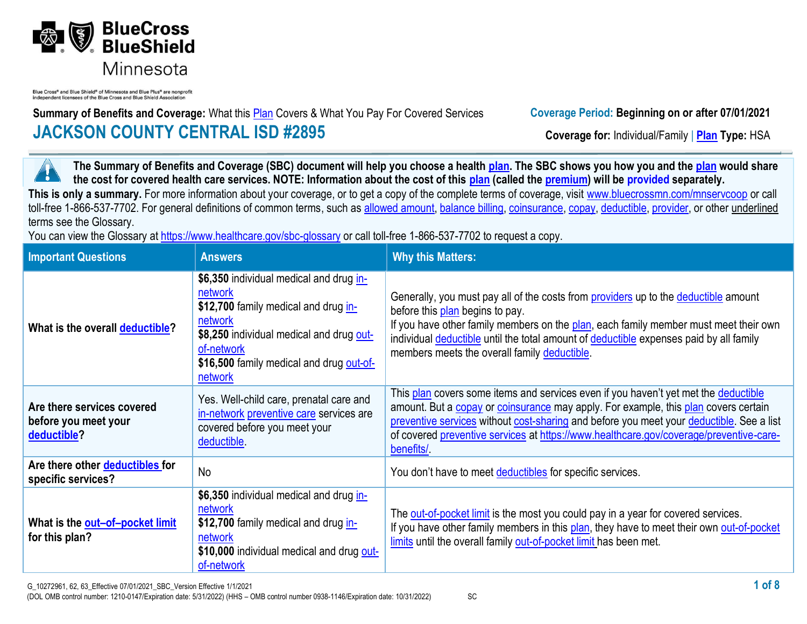

Blue Cross<sup>®</sup> and Blue Shield<sup>®</sup> of Minnesota and Blue Plus<sup>®</sup> are nonprofit independent licensees of the Blue Cross and Blue Shield Association

**Summary of Benefits and Coverage:** What this **Plan** Covers & What You Pay For Covered Services **Coverage Period: Beginning on or after 07/01/2021 JACKSON COUNTY CENTRAL ISD #2895 Coverage for:** Individual/Family | **Plan** Type: HSA

**The Summary of Benefits and Coverage (SBC) document will help you choose a health [plan.](https://www.healthcare.gov/sbc-glossary/#plan) The SBC shows you how you and the [plan](https://www.healthcare.gov/sbc-glossary/#plan) would share**  ٦ **the cost for covered health care services. NOTE: Information about the cost of this [plan](https://www.healthcare.gov/sbc-glossary/#plan) (called the [premium\)](https://www.healthcare.gov/sbc-glossary/#premium) will be provided separately.** This is only a summary. For more information about your coverage, or to get a copy of the complete terms of coverage, visit www.bluecrossmn.com/mnservcoop or call toll-free 1-866-537-7702. For general definitions of common terms, such as [allowed amount,](https://www.healthcare.gov/sbc-glossary/#allowed-amount) [balance billing,](https://www.healthcare.gov/sbc-glossary/#balance-billing) [coinsurance,](https://www.healthcare.gov/sbc-glossary/#coinsurance) [copay,](https://www.healthcare.gov/sbc-glossary/#copayment) [deductible,](https://www.healthcare.gov/sbc-glossary/#deductible) [provider,](https://www.healthcare.gov/sbc-glossary/#provider) or other underlined terms see the Glossary.

You can view the Glossary at<https://www.healthcare.gov/sbc-glossary> or call toll-free 1-866-537-7702 to request a copy.

| <b>Important Questions</b>                                        | <b>Answers</b>                                                                                                                                                                                                                | <b>Why this Matters:</b>                                                                                                                                                                                                                                                                                                                                                      |
|-------------------------------------------------------------------|-------------------------------------------------------------------------------------------------------------------------------------------------------------------------------------------------------------------------------|-------------------------------------------------------------------------------------------------------------------------------------------------------------------------------------------------------------------------------------------------------------------------------------------------------------------------------------------------------------------------------|
| What is the overall deductible?                                   | \$6,350 individual medical and drug in-<br>network<br>\$12,700 family medical and drug in-<br>network<br>\$8,250 individual medical and drug out-<br>of-network<br>\$16,500 family medical and drug out-of-<br><u>network</u> | Generally, you must pay all of the costs from <b>providers</b> up to the <b>deductible</b> amount<br>before this plan begins to pay.<br>If you have other family members on the plan, each family member must meet their own<br>individual deductible until the total amount of deductible expenses paid by all family<br>members meets the overall family deductible.        |
| Are there services covered<br>before you meet your<br>deductible? | Yes. Well-child care, prenatal care and<br>in-network preventive care services are<br>covered before you meet your<br>deductible.                                                                                             | This plan covers some items and services even if you haven't yet met the deductible<br>amount. But a copay or coinsurance may apply. For example, this plan covers certain<br>preventive services without cost-sharing and before you meet your deductible. See a list<br>of covered preventive services at https://www.healthcare.gov/coverage/preventive-care-<br>benefits/ |
| Are there other deductibles for<br>specific services?             | <b>No</b>                                                                                                                                                                                                                     | You don't have to meet deductibles for specific services.                                                                                                                                                                                                                                                                                                                     |
| What is the out-of-pocket limit<br>for this plan?                 | \$6,350 individual medical and drug in-<br>network<br>\$12,700 family medical and drug in-<br>network<br>\$10,000 individual medical and drug out-<br>of-network                                                              | The out-of-pocket limit is the most you could pay in a year for covered services.<br>If you have other family members in this plan, they have to meet their own out-of-pocket<br>limits until the overall family out-of-pocket limit has been met.                                                                                                                            |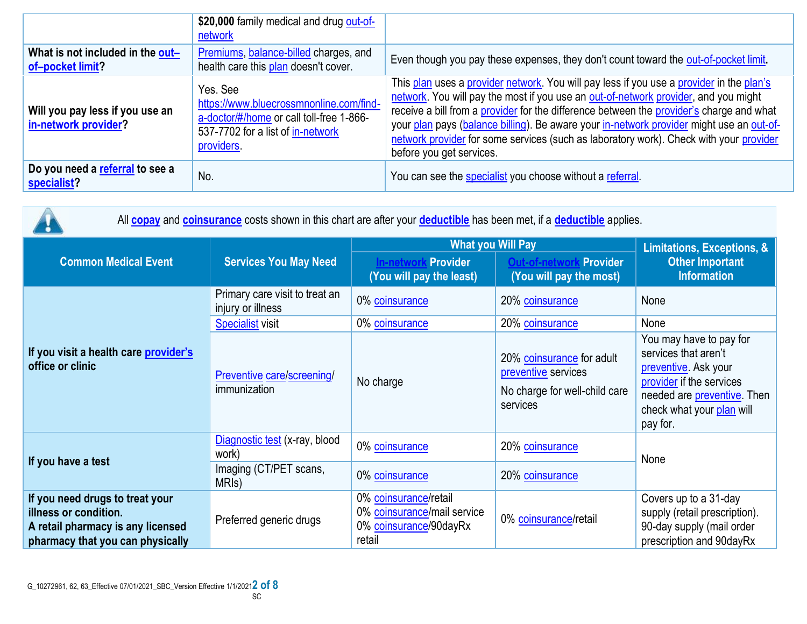|                                                         | \$20,000 family medical and drug out-of-<br>network                                                                                                |                                                                                                                                                                                                                                                                                                                                                                                                                                                                                               |
|---------------------------------------------------------|----------------------------------------------------------------------------------------------------------------------------------------------------|-----------------------------------------------------------------------------------------------------------------------------------------------------------------------------------------------------------------------------------------------------------------------------------------------------------------------------------------------------------------------------------------------------------------------------------------------------------------------------------------------|
| What is not included in the out-<br>of-pocket limit?    | Premiums, balance-billed charges, and<br>health care this plan doesn't cover.                                                                      | Even though you pay these expenses, they don't count toward the out-of-pocket limit.                                                                                                                                                                                                                                                                                                                                                                                                          |
| Will you pay less if you use an<br>in-network provider? | Yes, See<br>https://www.bluecrossmnonline.com/find-<br>a-doctor/#/home or call toll-free 1-866-<br>537-7702 for a list of in-network<br>providers. | This plan uses a provider network. You will pay less if you use a provider in the plan's<br>network. You will pay the most if you use an out-of-network provider, and you might<br>receive a bill from a provider for the difference between the provider's charge and what<br>your plan pays (balance billing). Be aware your in-network provider might use an out-of-<br>network provider for some services (such as laboratory work). Check with your provider<br>before you get services. |
| Do you need a referral to see a<br>specialist?          | No.                                                                                                                                                | You can see the specialist you choose without a referral.                                                                                                                                                                                                                                                                                                                                                                                                                                     |

| All <b>copay</b> and <b>coinsurance</b> costs shown in this chart are after your <b>deductible</b> has been met, if a <b>deductible</b> applies. |                                                     |                                                                                          |                                                                                               |                                                                                                                                                                                     |  |
|--------------------------------------------------------------------------------------------------------------------------------------------------|-----------------------------------------------------|------------------------------------------------------------------------------------------|-----------------------------------------------------------------------------------------------|-------------------------------------------------------------------------------------------------------------------------------------------------------------------------------------|--|
|                                                                                                                                                  | <b>Services You May Need</b>                        | <b>What you Will Pay</b>                                                                 | Limitations, Exceptions, &                                                                    |                                                                                                                                                                                     |  |
| <b>Common Medical Event</b>                                                                                                                      |                                                     | <b>In-network Provider</b><br>(You will pay the least)                                   | <b>Provider</b><br><b>Dut-of-networ</b><br>(You will pay the most)                            | <b>Other Important</b><br><b>Information</b>                                                                                                                                        |  |
|                                                                                                                                                  | Primary care visit to treat an<br>injury or illness | 0% coinsurance                                                                           | 20% coinsurance                                                                               | None                                                                                                                                                                                |  |
|                                                                                                                                                  | <b>Specialist visit</b>                             | 0% coinsurance                                                                           | 20% coinsurance                                                                               | None                                                                                                                                                                                |  |
| If you visit a health care provider's<br>office or clinic                                                                                        | Preventive care/screening/<br>immunization          | No charge                                                                                | 20% coinsurance for adult<br>preventive services<br>No charge for well-child care<br>services | You may have to pay for<br>services that aren't<br>preventive. Ask your<br>provider if the services<br>needed are <b>preventive</b> . Then<br>check what your plan will<br>pay for. |  |
| If you have a test                                                                                                                               | Diagnostic test (x-ray, blood<br>work)              | 0% coinsurance                                                                           | 20% coinsurance                                                                               | None                                                                                                                                                                                |  |
|                                                                                                                                                  | Imaging (CT/PET scans,<br>MRI <sub>s</sub> )        | 0% coinsurance                                                                           | 20% coinsurance                                                                               |                                                                                                                                                                                     |  |
| If you need drugs to treat your<br>illness or condition.<br>A retail pharmacy is any licensed<br>pharmacy that you can physically                | Preferred generic drugs                             | 0% coinsurance/retail<br>0% coinsurance/mail service<br>0% coinsurance/90dayRx<br>retail | 0% coinsurance/retail                                                                         | Covers up to a 31-day<br>supply (retail prescription).<br>90-day supply (mail order<br>prescription and 90dayRx                                                                     |  |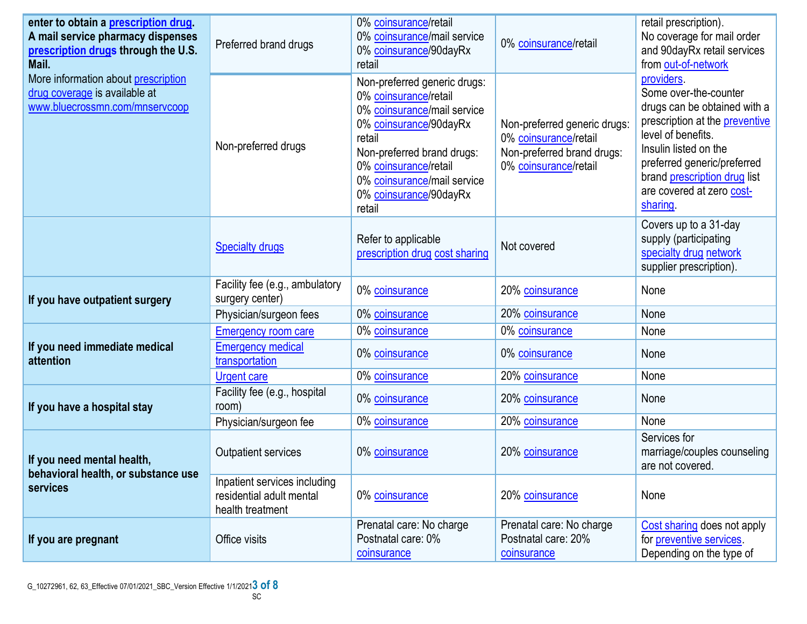| enter to obtain a prescription drug.<br>A mail service pharmacy dispenses<br>prescription drugs through the U.S.<br>Mail. | Preferred brand drugs                                                        | 0% coinsurance/retail<br>0% coinsurance/mail service<br>0% coinsurance/90dayRx<br>retail                                                                                                                                                           | 0% coinsurance/retail                                                                                                                                                                                                                                                                 | retail prescription).<br>No coverage for mail order<br>and 90dayRx retail services<br>from out-of-network                                                                                                                                                          |
|---------------------------------------------------------------------------------------------------------------------------|------------------------------------------------------------------------------|----------------------------------------------------------------------------------------------------------------------------------------------------------------------------------------------------------------------------------------------------|---------------------------------------------------------------------------------------------------------------------------------------------------------------------------------------------------------------------------------------------------------------------------------------|--------------------------------------------------------------------------------------------------------------------------------------------------------------------------------------------------------------------------------------------------------------------|
| More information about prescription<br>drug coverage is available at<br>www.bluecrossmn.com/mnservcoop                    | Non-preferred drugs                                                          | Non-preferred generic drugs:<br>0% coinsurance/retail<br>0% coinsurance/mail service<br>0% coinsurance/90dayRx<br>retail<br>Non-preferred brand drugs:<br>0% coinsurance/retail<br>0% coinsurance/mail service<br>0% coinsurance/90dayRx<br>retail | Non-preferred generic drugs:<br>0% coinsurance/retail<br>Non-preferred brand drugs:<br>0% coinsurance/retail                                                                                                                                                                          | providers.<br>Some over-the-counter<br>drugs can be obtained with a<br>prescription at the <b>preventive</b><br>level of benefits.<br>Insulin listed on the<br>preferred generic/preferred<br>brand prescription drug list<br>are covered at zero cost-<br>sharing |
|                                                                                                                           | <b>Specialty drugs</b>                                                       | Refer to applicable<br>prescription drug cost sharing                                                                                                                                                                                              | Not covered                                                                                                                                                                                                                                                                           | Covers up to a 31-day<br>supply (participating<br>specialty drug network<br>supplier prescription).                                                                                                                                                                |
| If you have outpatient surgery                                                                                            | Facility fee (e.g., ambulatory<br>surgery center)                            | 0% coinsurance                                                                                                                                                                                                                                     | 20% coinsurance                                                                                                                                                                                                                                                                       | None                                                                                                                                                                                                                                                               |
|                                                                                                                           | Physician/surgeon fees                                                       | 0% coinsurance                                                                                                                                                                                                                                     |                                                                                                                                                                                                                                                                                       |                                                                                                                                                                                                                                                                    |
| If you need immediate medical<br>attention                                                                                | <b>Emergency room care</b>                                                   | 0% coinsurance                                                                                                                                                                                                                                     |                                                                                                                                                                                                                                                                                       |                                                                                                                                                                                                                                                                    |
|                                                                                                                           | <b>Emergency medical</b><br>transportation                                   | 0% coinsurance                                                                                                                                                                                                                                     | 0% coinsurance                                                                                                                                                                                                                                                                        | None                                                                                                                                                                                                                                                               |
|                                                                                                                           | <b>Urgent care</b>                                                           | 0% coinsurance                                                                                                                                                                                                                                     | 20% coinsurance<br>None<br>0% coinsurance<br>None<br>20% coinsurance<br>None<br>20% coinsurance<br>None<br>20% coinsurance<br>None<br>Services for<br>20% coinsurance<br>are not covered<br>None<br>20% coinsurance<br>Prenatal care: No charge<br>Postnatal care: 20%<br>coinsurance |                                                                                                                                                                                                                                                                    |
| If you have a hospital stay                                                                                               | Facility fee (e.g., hospital<br>room)                                        | 0% coinsurance                                                                                                                                                                                                                                     |                                                                                                                                                                                                                                                                                       |                                                                                                                                                                                                                                                                    |
|                                                                                                                           | Physician/surgeon fee                                                        | 0% coinsurance                                                                                                                                                                                                                                     |                                                                                                                                                                                                                                                                                       |                                                                                                                                                                                                                                                                    |
| If you need mental health,<br>behavioral health, or substance use<br>services                                             | <b>Outpatient services</b>                                                   | 0% coinsurance                                                                                                                                                                                                                                     |                                                                                                                                                                                                                                                                                       | marriage/couples counseling                                                                                                                                                                                                                                        |
|                                                                                                                           | Inpatient services including<br>residential adult mental<br>health treatment | 0% coinsurance                                                                                                                                                                                                                                     |                                                                                                                                                                                                                                                                                       |                                                                                                                                                                                                                                                                    |
| If you are pregnant                                                                                                       | Office visits                                                                | Prenatal care: No charge<br>Postnatal care: 0%<br>coinsurance                                                                                                                                                                                      |                                                                                                                                                                                                                                                                                       | Cost sharing does not apply<br>for preventive services.<br>Depending on the type of                                                                                                                                                                                |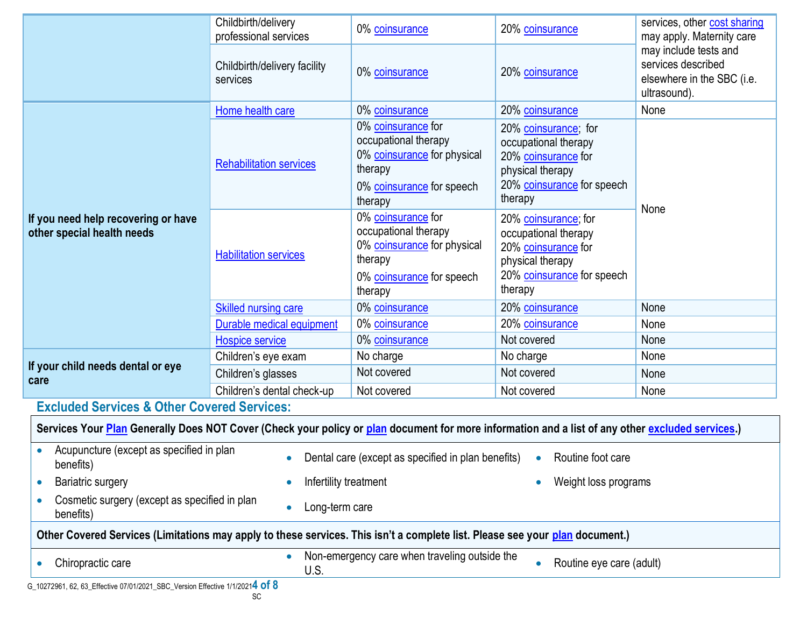|                                                                                                                                                  | Childbirth/delivery<br>professional services | 0% coinsurance                                                                                                               | 20% coinsurance                                                                                                                  | services, other cost sharing<br>may apply. Maternity care                                 |  |
|--------------------------------------------------------------------------------------------------------------------------------------------------|----------------------------------------------|------------------------------------------------------------------------------------------------------------------------------|----------------------------------------------------------------------------------------------------------------------------------|-------------------------------------------------------------------------------------------|--|
|                                                                                                                                                  | Childbirth/delivery facility<br>services     | 0% coinsurance                                                                                                               | 20% coinsurance                                                                                                                  | may include tests and<br>services described<br>elsewhere in the SBC (i.e.<br>ultrasound). |  |
|                                                                                                                                                  | Home health care                             | 0% coinsurance                                                                                                               | 20% coinsurance                                                                                                                  | None                                                                                      |  |
| If you need help recovering or have<br>other special health needs                                                                                | <b>Rehabilitation services</b>               | 0% coinsurance for<br>occupational therapy<br>0% coinsurance for physical<br>therapy<br>0% coinsurance for speech<br>therapy | 20% coinsurance; for<br>occupational therapy<br>20% coinsurance for<br>physical therapy<br>20% coinsurance for speech<br>therapy | None                                                                                      |  |
|                                                                                                                                                  | <b>Habilitation services</b>                 | 0% coinsurance for<br>occupational therapy<br>0% coinsurance for physical<br>therapy<br>0% coinsurance for speech<br>therapy | 20% coinsurance; for<br>occupational therapy<br>20% coinsurance for<br>physical therapy<br>20% coinsurance for speech<br>therapy |                                                                                           |  |
|                                                                                                                                                  | Skilled nursing care                         | 0% coinsurance                                                                                                               | 20% coinsurance                                                                                                                  | None                                                                                      |  |
|                                                                                                                                                  | Durable medical equipment                    | 0% coinsurance                                                                                                               | 20% coinsurance                                                                                                                  | None                                                                                      |  |
|                                                                                                                                                  | <b>Hospice service</b>                       | 0% coinsurance                                                                                                               | Not covered                                                                                                                      | None                                                                                      |  |
|                                                                                                                                                  | Children's eye exam                          | No charge                                                                                                                    | No charge                                                                                                                        | None                                                                                      |  |
| If your child needs dental or eye<br>care                                                                                                        | Children's glasses                           | Not covered                                                                                                                  | Not covered                                                                                                                      | None                                                                                      |  |
|                                                                                                                                                  | Children's dental check-up                   | Not covered                                                                                                                  | Not covered                                                                                                                      | None                                                                                      |  |
| <b>Excluded Services &amp; Other Covered Services:</b>                                                                                           |                                              |                                                                                                                              |                                                                                                                                  |                                                                                           |  |
| Services Your Plan Generally Does NOT Cover (Check your policy or plan document for more information and a list of any other excluded services.) |                                              |                                                                                                                              |                                                                                                                                  |                                                                                           |  |
| Acupuncture (except as specified in plan<br>benefits)                                                                                            |                                              | Dental care (except as specified in plan benefits)                                                                           | Routine foot care<br>$\bullet$                                                                                                   |                                                                                           |  |
| Bariatric surgery                                                                                                                                | Infertility treatment                        | Weight loss programs                                                                                                         |                                                                                                                                  |                                                                                           |  |
| Cosmetic surgery (except as specified in plan<br>$\bullet$<br>Long-term care<br>$\bullet$<br>benefits)                                           |                                              |                                                                                                                              |                                                                                                                                  |                                                                                           |  |
| Other Covered Services (Limitations may apply to these services. This isn't a complete list. Please see your plan document.)                     |                                              |                                                                                                                              |                                                                                                                                  |                                                                                           |  |
| Non-emergency care when traveling outside the<br>$\bullet$<br>Routine eye care (adult)<br>Chiropractic care<br>$\bullet$<br>U.S.                 |                                              |                                                                                                                              |                                                                                                                                  |                                                                                           |  |
| G_10272961, 62, 63_Effective 07/01/2021_SBC_Version Effective 1/1/20214 of 8                                                                     | SC                                           |                                                                                                                              |                                                                                                                                  |                                                                                           |  |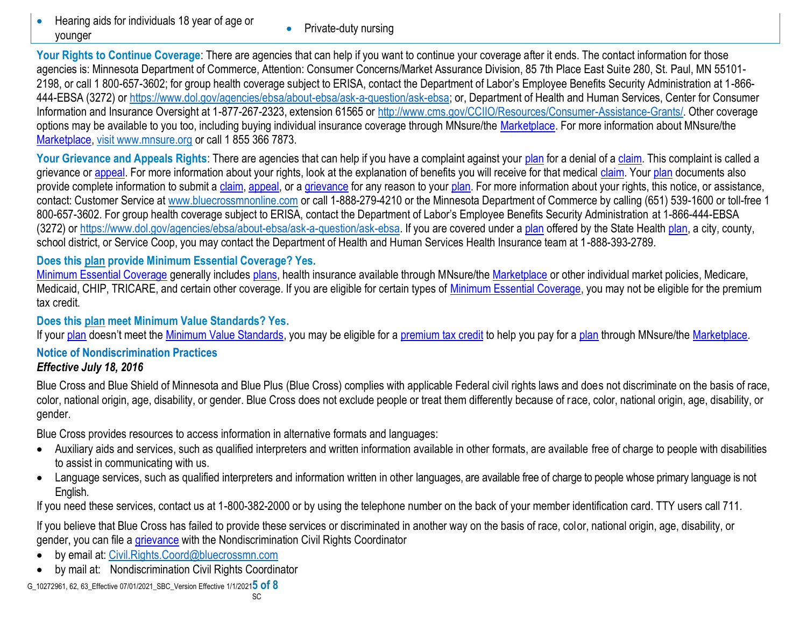- Hearing aids for individuals 18 year of age or younger
- Private-duty nursing

Your Rights to Continue Coverage: There are agencies that can help if you want to continue your coverage after it ends. The contact information for those agencies is: Minnesota Department of Commerce, Attention: Consumer Concerns/Market Assurance Division, 85 7th Place East Suite 280, St. Paul, MN 55101- 2198, or call 1 800-657-3602; for group health coverage subject to ERISA, contact the Department of Labor's Employee Benefits Security Administration at 1-866- 444-EBSA (3272) or https://www.dol.gov/agencies/ebsa/about-ebsa/ask-a-question/ask-ebsa; or, Department of Health and Human Services, Center for Consumer Information and Insurance Oversight at 1-877-267-2323, extension 61565 or [http://www.cms.gov/CCIIO/Resources/Consumer-Assistance-Grants/.](http://www.cms.gov/CCIIO/Resources/Consumer-Assistance-Grants/) Other coverage options may be available to you too, including buying individual insurance coverage through MNsure/the [Marketplace.](https://www.healthcare.gov/sbc-glossary/#marketplace) For more information about MNsure/the [Marketplace,](https://www.healthcare.gov/sbc-glossary/#marketplace) visit www.mnsure.org or call 1 855 366 7873.

Your Grievance and Appeals Rights: There are agencies that can help if you have a complaint against your [plan](https://www.healthcare.gov/sbc-glossary/#plan) for a denial of a [claim.](https://www.healthcare.gov/sbc-glossary/#claim) This complaint is called a grievance or [appeal.](https://www.healthcare.gov/sbc-glossary/#appeal) For more information about your rights, look at the explanation of benefits you will receive for that medical [claim.](https://www.healthcare.gov/sbc-glossary/#claim) Your [plan](https://www.healthcare.gov/sbc-glossary/#plan) documents also provide complete information to submit a [claim,](https://www.healthcare.gov/sbc-glossary/#claim) [appeal,](https://www.healthcare.gov/sbc-glossary/#appeal) or a [grievance](https://www.healthcare.gov/sbc-glossary/#grievance) for any reason to your [plan.](https://www.healthcare.gov/sbc-glossary/#plan) For more information about your rights, this notice, or assistance, contact: Customer Service at www.bluecrossmnonline.com or call 1-888-279-4210 or the Minnesota Department of Commerce by calling (651) 539-1600 or toll-free 1 800-657-3602. For group health coverage subject to ERISA, contact the Department of Labor's Employee Benefits Security Administration at 1-866-444-EBSA (3272) or https://www.dol.gov/agencies/ebsa/about-ebsa/ask-a-question/ask-ebsa. If you are covered under a [plan](https://www.healthcare.gov/sbc-glossary/#plan) offered by the State Health [plan,](https://www.healthcare.gov/sbc-glossary/#plan) a city, county, school district, or Service Coop, you may contact the Department of Health and Human Services Health Insurance team at 1-888-393-2789.

# **Does this [plan](https://www.healthcare.gov/sbc-glossary/#plan) provide Minimum Essential Coverage? Yes.**

[Minimum Essential Coverage](https://www.healthcare.gov/sbc-glossary/#minimum-essential-coverage) generally includes [plans,](https://www.healthcare.gov/sbc-glossary/#plan) health insurance available through MNsure/the [Marketplace](https://www.healthcare.gov/sbc-glossary/#marketplace) or other individual market policies, Medicare, Medicaid, CHIP, TRICARE, and certain other coverage. If you are eligible for certain types of [Minimum Essential Coverage,](https://www.healthcare.gov/sbc-glossary/#minimum-essential-coverage) you may not be eligible for the premium tax credit.

### **Does this [plan](https://www.healthcare.gov/sbc-glossary/#plan) meet Minimum Value Standards? Yes.**

If your [plan](https://www.healthcare.gov/sbc-glossary/#plan) doesn't meet the [Minimum Value Standards,](https://www.healthcare.gov/sbc-glossary/#minimum-value-standard) you may be eligible for a [premium tax credit](https://www.healthcare.gov/sbc-glossary/#premium-tax-credits) to help you pay for a plan through MNsure/the [Marketplace.](https://www.healthcare.gov/sbc-glossary/#marketplace)

#### **Notice of Nondiscrimination Practices** *Effective July 18, 2016*

Blue Cross and Blue Shield of Minnesota and Blue Plus (Blue Cross) complies with applicable Federal civil rights laws and does not discriminate on the basis of race, color, national origin, age, disability, or gender. Blue Cross does not exclude people or treat them differently because of race, color, national origin, age, disability, or gender.

Blue Cross provides resources to access information in alternative formats and languages:

- Auxiliary aids and services, such as qualified interpreters and written information available in other formats, are available free of charge to people with disabilities to assist in communicating with us.
- Language services, such as qualified interpreters and information written in other languages, are available free of charge to people whose primary language is not English.

If you need these services, contact us at 1-800-382-2000 or by using the telephone number on the back of your member identification card. TTY users call 711.

If you believe that Blue Cross has failed to provide these services or discriminated in another way on the basis of race, color, national origin, age, disability, or gender, you can file a [grievance](https://www.healthcare.gov/sbc-glossary/#grievance) with the Nondiscrimination Civil Rights Coordinator

- by email at: [Civil.Rights.Coord@bluecrossmn.com](mailto:Civil.Rights.Coord@bluecrossmn.com?subject=Grievance)
- by mail at: Nondiscrimination Civil Rights Coordinator

G\_10272961, 62, 63\_Effective 07/01/2021\_SBC\_Version Effective 1/1/2021**5 of 8**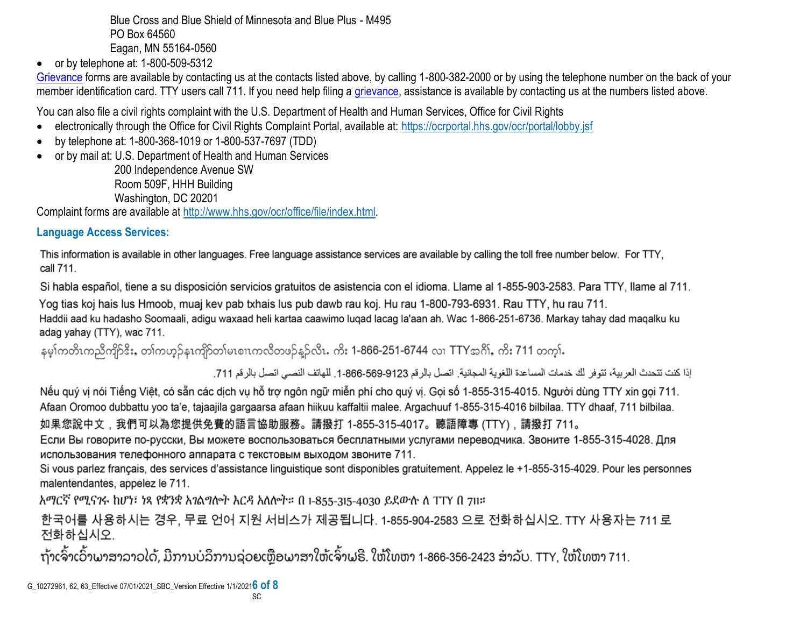Blue Cross and Blue Shield of Minnesota and Blue Plus - M495 PO Box 64560 Eagan, MN 55164-0560

 $\bullet$  or by telephone at: 1-800-509-5312

[Grievance](https://www.healthcare.gov/sbc-glossary/#grievance) forms are available by contacting us at the contacts listed above, by calling 1-800-382-2000 or by using the telephone number on the back of your member identification card. TTY users call 711. If you need help filing a [grievance,](https://www.healthcare.gov/sbc-glossary/#grievance) assistance is available by contacting us at the numbers listed above.

You can also file a civil rights complaint with the U.S. Department of Health and Human Services, Office for Civil Rights

- electronically through the Office for Civil Rights Complaint Portal, available at:<https://ocrportal.hhs.gov/ocr/portal/lobby.jsf>
- by telephone at: 1-800-368-1019 or 1-800-537-7697 (TDD)
- or by mail at: U.S. Department of Health and Human Services

200 Independence Avenue SW Room 509F, HHH Building Washington, DC 20201

Complaint forms are available at [http://www.hhs.gov/ocr/office/file/index.html.](http://www.hhs.gov/ocr/office/file/index.html)

# **Language Access Services:**

This information is available in other languages. Free language assistance services are available by calling the toll free number below. For TTY, call 711.

Si habla español, tiene a su disposición servicios gratuitos de asistencia con el idioma. Llame al 1-855-903-2583. Para TTY, llame al 711.

Yog tias koj hais lus Hmoob, muaj kev pab txhais lus pub dawb rau koj. Hu rau 1-800-793-6931. Rau TTY, hu rau 711. Haddii aad ku hadasho Soomaali, adigu waxaad heli kartaa caawimo lugad lacag la'aan ah. Wac 1-866-251-6736. Markay tahay dad magalku ku adag yahay (TTY), wac 711.

နမ္ဒါကတိၤကညီကျိဉ်ဒီး, တ္)ကဟ္၌နၤကျိဉ်တျမၤစၢၤကလီတဖ္၌နူဉ်လီၤ. ကိုး 1-866-251-6744 လ္၊ TTYအဂို), ကိုး 711 တက္မ္ပါ.

إذا كنت تتحدث العربية، تتوفر لك خدمات المساعدة اللغوية المجانية. اتصل بالرقم 9123-666-666-1. للهاتف النصبي اتصل بالرقم 711.

Nếu quý vị nói Tiếng Việt, có sẵn các dịch vụ hỗ trợ ngôn ngữ miễn phí cho quý vị. Gọi số 1-855-315-4015. Người dùng TTY xin gọi 711. Afaan Oromoo dubbattu yoo ta'e, tajaajila gargaarsa afaan hiikuu kaffaltii malee. Argachuuf 1-855-315-4016 bilbilaa. TTY dhaaf, 711 bilbilaa. 如果您說中文,我們可以為您提供免費的語言協助服務。請撥打 1-855-315-4017。聽語障專 (TTY),請撥打 711。

Если Вы говорите по-русски, Вы можете воспользоваться бесплатными услугами переводчика. Звоните 1-855-315-4028. Для использования телефонного аппарата с текстовым выходом звоните 711.

Si vous parlez français, des services d'assistance linguistique sont disponibles gratuitement. Appelez le +1-855-315-4029. Pour les personnes malentendantes, appelez le 711.

አማርኛ የሚናንሩ ከሆነ፣ ነጻ የቋንቋ አንልግሎት እርዳ አለሎት። በ 1-855-315-4030 ይደውሉ ለ TTY በ 711።

한국어를 사용하시는 경우, 무료 언어 지원 서비스가 제공됩니다. 1-855-904-2583 으로 전화하십시오. TTY 사용자는 711 로 전화하십시오.

ຖ້າເຈົ້າເວົ້າພາສາລາວໄດ້, ມີການບໍລິການຊ່ວຍເຫຼືອພາສາໃຫ້ເຈົ້າຟຣີ. ໃຫ້ໂທຫາ 1-866-356-2423 ສໍາລັບ. TTY, ໃຫ້ໂທຫາ 711.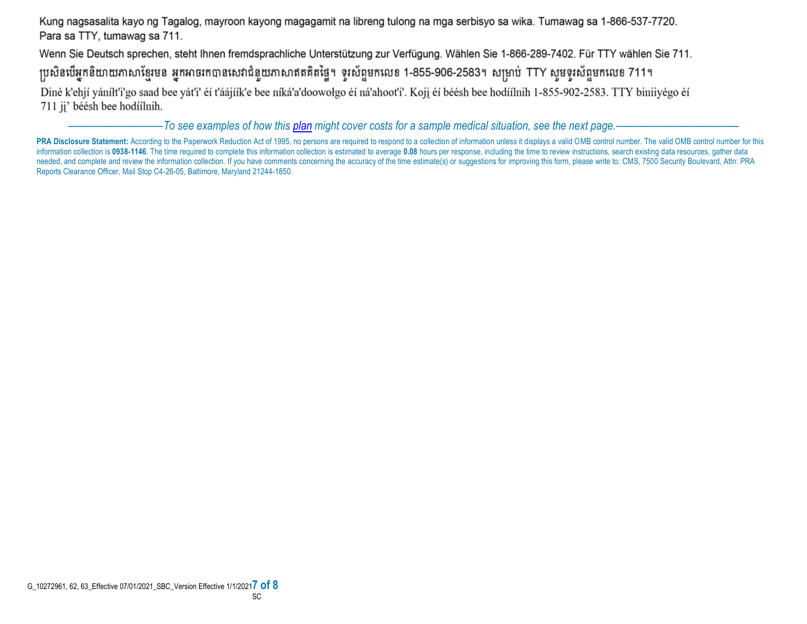Kung nagsasalita kayo ng Tagalog, mayroon kayong magagamit na libreng tulong na mga serbisyo sa wika. Tumawag sa 1-866-537-7720. Para sa TTY, tumawag sa 711.

Wenn Sie Deutsch sprechen, steht Ihnen fremdsprachliche Unterstützung zur Verfügung. Wählen Sie 1-866-289-7402. Für TTY wählen Sie 711.

ប្រសិនបើអ្នកនិយាយភាសាខ្មែរមន អ្នកអាចរកបានសេវាជំនួយភាសាឥតគិតថ្លៃ។ ទូរស័ព្ទមកលេខ 1-855-906-2583។ សម្រាប់ TTY សូមទូរស័ព្ទមកលេខ 711។

Diné k'ehjí yáníłt'i'go saad bee yát'i' éí t'áájíík'e bee níká'a'doowołgo éí ná'ahoot'i'. Koji éí béésh bee hodíílnih 1-855-902-2583. TTY biniiyégo éí 711 jį' béésh bee hodíílnih.

–––––––––––––––––*To see examples of how this plan might cover costs for a sample medical situation, see the next page.–––––––––––*–––––––––––

PRA Disclosure Statement: According to the Paperwork Reduction Act of 1995, no persons are required to respond to a collection of information unless it displays a valid OMB control number. The valid OMB control number for information collection is 0938-1146. The time required to complete this information collection is estimated to average 0.08 hours per response, including the time to review instructions, search existing data resources, gat needed, and complete and review the information collection. If you have comments concerning the accuracy of the time estimate(s) or suggestions for improving this form, please write to: CMS, 7500 Security Boulevard, Attn: Reports Clearance Officer, Mail Stop C4-26-05, Baltimore, Maryland 21244-1850.